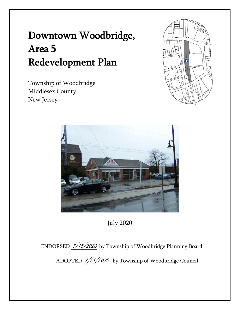# Downtown Woodbridge, Area 5 Redevelopment Plan

Township of Woodbridge Middlesex County, New Jersey





July 2020

ENDORSED 7/15/2020 by Township of Woodbridge Planning Board ADOPTED 7/21/2020 by Township of Woodbridge Council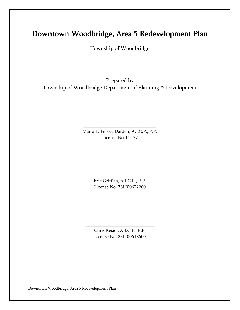## Downtown Woodbridge, Area 5 Redevelopment Plan

Township of Woodbridge

Prepared by Township of Woodbridge Department of Planning & Development

> Marta E. Lefsky Darden, A.I.C.P., P.P. License No. 05177

\_\_\_\_\_\_\_\_\_\_\_\_\_\_\_\_\_\_\_\_\_\_\_\_\_\_\_\_\_\_\_

Eric Griffith, A.I.C.P., P.P. License No. 33LI00622200

\_\_\_\_\_\_\_\_\_\_\_\_\_\_\_\_\_\_\_\_\_\_\_\_\_\_\_\_\_\_

Chris Kesici, A.I.C.P., P.P. License No. 33LI00618600

\_\_\_\_\_\_\_\_\_\_\_\_\_\_\_\_\_\_\_\_\_\_\_\_\_\_\_\_\_\_

Downtown Woodbridge, Area 5 Redevelopment Plan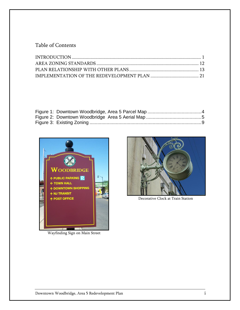#### Table of Contents



Wayfinding Sign on Main Street



Decorative Clock at Train Station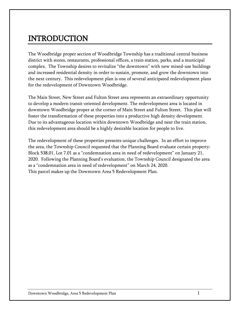## <span id="page-3-0"></span>INTRODUCTION

The Woodbridge proper section of Woodbridge Township has a traditional central business district with stores, restaurants, professional offices, a train station, parks, and a municipal complex. The Township desires to revitalize "the downtown" with new mixed-use buildings and increased residential density in order to sustain, promote, and grow the downtown into the next century. This redevelopment plan is one of several anticipated redevelopment plans for the redevelopment of Downtown Woodbridge.

The Main Street, New Street and Fulton Street area represents an extraordinary opportunity to develop a modern transit-oriented development. The redevelopment area is located in downtown Woodbridge proper at the corner of Main Street and Fulton Street. This plan will foster the transformation of these properties into a productive high density development. Due to its advantageous location within downtown Woodbridge and near the train station, this redevelopment area should be a highly desirable location for people to live.

The redevelopment of these properties presents unique challenges. In an effort to improve the area, the Township Council requested that the Planning Board evaluate certain property: Block 538.01, Lot 7.01 as a "condemnation area in need of redevelopment" on January 21, 2020. Following the Planning Board's evaluation, the Township Council designated the area as a "condemnation area in need of redevelopment" on March 24, 2020. This parcel makes up the Downtown Area 5 Redevelopment Plan.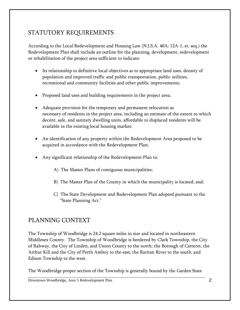### STATUTORY REQUIREMENTS

According to the Local Redevelopment and Housing Law (N.J.S.A. 40A: 12A-1, et. seq.) the Redevelopment Plan shall include an outline for the planning, development, redevelopment or rehabilitation of the project area sufficient to indicate:

- Its relationship to definitive local objectives as to appropriate land uses, density of population and improved traffic and public transportation, public utilities, recreational and community facilities and other public improvements;
- Proposed land uses and building requirements in the project area;
- Adequate provision for the temporary and permanent relocation as necessary of residents in the project area, including an estimate of the extent to which decent, safe, and sanitary dwelling units, affordable to displaced residents will be available in the existing local housing market;
- An identification of any property within the Redevelopment Area proposed to be acquired in accordance with the Redevelopment Plan;
- Any significant relationship of the Redevelopment Plan to:
	- A) The Master Plans of contiguous municipalities;
	- B) The Master Plan of the County in which the municipality is located; and;
	- C) The State Development and Redevelopment Plan adopted pursuant to the "State Planning Act."

#### PLANNING CONTEXT

The Township of Woodbridge is 24.2 square miles in size and located in northeastern Middlesex County. The Township of Woodbridge is bordered by Clark Township, the City of Rahway, the City of Linden, and Union County to the north; the Borough of Carteret, the Arthur Kill and the City of Perth Amboy to the east; the Raritan River to the south; and Edison Township to the west.

The Woodbridge proper section of the Township is generally bound by the Garden State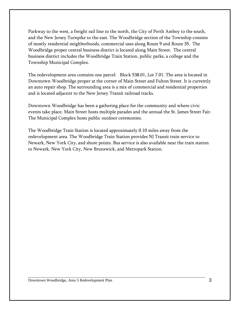Parkway to the west, a freight rail line to the north, the City of Perth Amboy to the south, and the New Jersey Turnpike to the east. The Woodbridge section of the Township consists of mostly residential neighborhoods, commercial uses along Route 9 and Route 35. The Woodbridge proper central business district is located along Main Street. The central business district includes the Woodbridge Train Station, public parks, a college and the Township Municipal Complex.

The redevelopment area contains one parcel: Block 538.01, Lot 7.01. The area is located in Downtown Woodbridge proper at the corner of Main Street and Fulton Street. It is currently an auto repair shop. The surrounding area is a mix of commercial and residential properties and is located adjacent to the New Jersey Transit railroad tracks.

Downtown Woodbridge has been a gathering place for the community and where civic events take place. Main Street hosts multiple parades and the annual the St. James Street Fair. The Municipal Complex hosts public outdoor ceremonies.

The Woodbridge Train Station is located approximately 0.10 miles away from the redevelopment area. The Woodbridge Train Station provides NJ Transit train service to Newark, New York City, and shore points. Bus service is also available near the train station to Newark, New York City, New Brunswick, and Metropark Station.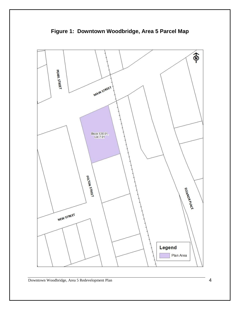<span id="page-6-0"></span>

**Figure 1: Downtown Woodbridge, Area 5 Parcel Map**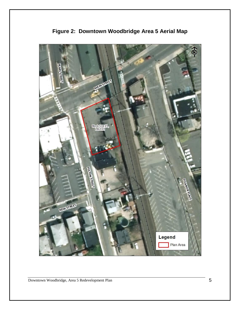<span id="page-7-0"></span>

**Figure 2: Downtown Woodbridge Area 5 Aerial Map**

Downtown Woodbridge, Area 5 Redevelopment Plan 5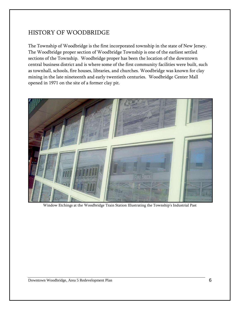#### HISTORY OF WOODBRIDGE

The Township of Woodbridge is the first incorporated township in the state of New Jersey. The Woodbridge proper section of Woodbridge Township is one of the earliest settled sections of the Township. Woodbridge proper has been the location of the downtown central business district and is where some of the first community facilities were built, such as townhall, schools, fire houses, libraries, and churches. Woodbridge was known for clay mining in the late nineteenth and early twentieth centuries. Woodbridge Center Mall opened in 1971 on the site of a former clay pit.



Window Etchings at the Woodbridge Train Station Illustrating the Township's Industrial Past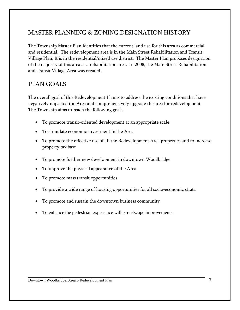## MASTER PLANNING & ZONING DESIGNATION HISTORY

The Township Master Plan identifies that the current land use for this area as commercial and residential. The redevelopment area is in the Main Street Rehabilitation and Transit Village Plan. It is in the residential/mixed use district. The Master Plan proposes designation of the majority of this area as a rehabilitation area. In 2008, the Main Street Rehabilitation and Transit Village Area was created.

#### PLAN GOALS

The overall goal of this Redevelopment Plan is to address the existing conditions that have negatively impacted the Area and comprehensively upgrade the area for redevelopment. The Township aims to reach the following goals:

- To promote transit-oriented development at an appropriate scale
- To stimulate economic investment in the Area
- To promote the effective use of all the Redevelopment Area properties and to increase property tax base
- To promote further new development in downtown Woodbridge
- To improve the physical appearance of the Area
- To promote mass transit opportunities
- To provide a wide range of housing opportunities for all socio-economic strata
- To promote and sustain the downtown business community
- To enhance the pedestrian experience with streetscape improvements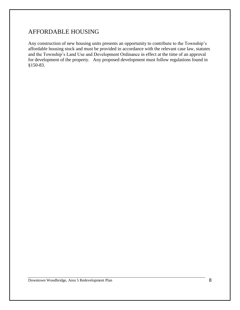#### AFFORDABLE HOUSING

Any construction of new housing units presents an opportunity to contribute to the Township's affordable housing stock and must be provided in accordance with the relevant case law, statutes and the Township's Land Use and Development Ordinance in effect at the time of an approval for development of the property. Any proposed development must follow regulations found in §150-83.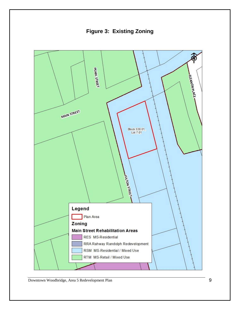**Figure 3: Existing Zoning**

<span id="page-11-0"></span>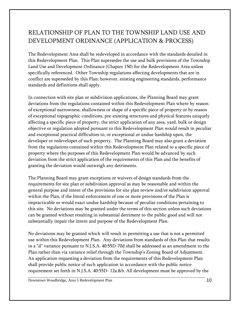## RELATIONSHIP OF PLAN TO THE TOWNSHIP LAND USE AND DEVELOPMENT ORDINANCE (APPLICATION & PROCESS)

The Redevelopment Area shall be redeveloped in accordance with the standards detailed in this Redevelopment Plan. This Plan supersedes the use and bulk provisions of the Township Land Use and Development Ordinance (Chapter 150) for the Redevelopment Area unless specifically referenced. Other Township regulations affecting developments that are in conflict are superseded by this Plan; however, existing engineering standards, performance standards and definitions shall apply.

In connection with site plan or subdivision applications, the Planning Board may grant deviations from the regulations contained within this Redevelopment Plan where by reason of exceptional narrowness, shallowness or shape of a specific piece of property or by reason of exceptional topographic conditions, pre-existing structures and physical features uniquely affecting a specific piece of property, the strict application of any area, yard, bulk or design objective or regulation adopted pursuant to this Redevelopment Plan would result in peculiar and exceptional practical difficulties to, or exceptional or undue hardship upon, the developer or redeveloper of such property. The Planning Board may also grant a deviation from the regulations contained within this Redevelopment Plan related to a specific piece of property where the purposes of this Redevelopment Plan would be advanced by such deviation from the strict application of the requirements of this Plan and the benefits of granting the deviation would outweigh any detriments.

The Planning Board may grant exceptions or waivers of design standards from the requirements for site plan or subdivision approval as may be reasonable and within the general purpose and intent of the provisions for site plan review and/or subdivision approval within the Plan, if the literal enforcement of one or more provisions of the Plan is impracticable or would exact undue hardship because of peculiar conditions pertaining to this site. No deviations may be granted under the terms of this section unless such deviations can be granted without resulting in substantial detriment to the public good and will not substantially impair the intent and purpose of the Redevelopment Plan.

No deviations may be granted which will result in permitting a use that is not a permitted use within this Redevelopment Plan. Any deviations from standards of this Plan that results in a "d" variance pursuant to N.J.S.A. 40:55D-70d shall be addressed as an amendment to the Plan rather than via variance relief through the Township's Zoning Board of Adjustment. An application requesting a deviation from the requirements of this Redevelopment Plan shall provide public notice of such application in accordance with the public notice requirement set forth in N.J.S.A. 40:55D- 12a.&b. All development must be approved by the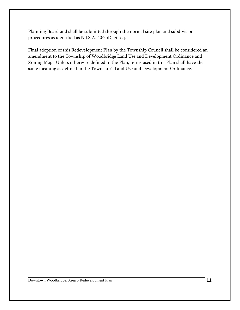Planning Board and shall be submitted through the normal site plan and subdivision procedures as identified as N.J.S.A. 40:55D, et seq.

Final adoption of this Redevelopment Plan by the Township Council shall be considered an amendment to the Township of Woodbridge Land Use and Development Ordinance and Zoning Map. Unless otherwise defined in the Plan, terms used in this Plan shall have the same meaning as defined in the Township's Land Use and Development Ordinance.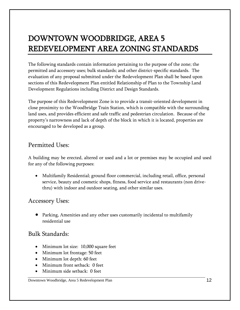## <span id="page-14-0"></span>DOWNTOWN WOODBRIDGE, AREA 5 REDEVELOPMENT AREA ZONING STANDARDS

The following standards contain information pertaining to the purpose of the zone; the permitted and accessory uses; bulk standards; and other district-specific standards. The evaluation of any proposal submitted under the Redevelopment Plan shall be based upon sections of this Redevelopment Plan entitled Relationship of Plan to the Township Land Development Regulations including District and Design Standards.

The purpose of this Redevelopment Zone is to provide a transit-oriented development in close proximity to the Woodbridge Train Station, which is compatible with the surrounding land uses, and provides efficient and safe traffic and pedestrian circulation. Because of the property's narrowness and lack of depth of the block in which it is located, properties are encouraged to be developed as a group.

#### Permitted Uses:

A building may be erected, altered or used and a lot or premises may be occupied and used for any of the following purposes:

 Multifamily Residential; ground floor commercial, including retail, office, personal service, beauty and cosmetic shops, fitness, food service and restaurants (non drivethru) with indoor and outdoor seating, and other similar uses.

#### Accessory Uses:

 Parking, Amenities and any other uses customarily incidental to multifamily residential use

### Bulk Standards:

- Minimum lot size: 10,000 square feet
- Minimum lot frontage: 50 feet
- Minimum lot depth: 60 feet
- Minimum front setback: 0 feet
- Minimum side setback: 0 feet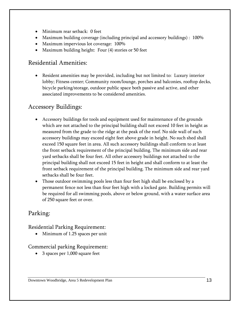- Minimum rear setback: 0 feet
- Maximum building coverage (including principal and accessory buildings) : 100%
- Maximum impervious lot coverage: 100%
- Maximum building height: Four (4) stories or 50 feet

### Residential Amenities:

 Resident amenities may be provided, including but not limited to: Luxury interior lobby; Fitness center; Community room/lounge, porches and balconies, rooftop decks, bicycle parking/storage, outdoor public space both passive and active, and other associated improvements to be considered amenities.

## Accessory Buildings:

- Accessory buildings for tools and equipment used for maintenance of the grounds which are not attached to the principal building shall not exceed 10 feet in height as measured from the grade to the ridge at the peak of the roof. No side wall of such accessory buildings may exceed eight feet above grade in height. No such shed shall exceed 150 square feet in area. All such accessory buildings shall conform to at least the front setback requirement of the principal building. The minimum side and rear yard setbacks shall be four feet. All other accessory buildings not attached to the principal building shall not exceed 15 feet in height and shall conform to at least the front setback requirement of the principal building. The minimum side and rear yard setbacks shall be four feet.
- Those outdoor swimming pools less than four feet high shall be enclosed by a permanent fence not less than four feet high with a locked gate. Building permits will be required for all swimming pools, above or below ground, with a water surface area of 250 square feet or over.

### <span id="page-15-0"></span>Parking:

Residential Parking Requirement:

Minimum of 1.25 spaces per unit

#### Commercial parking Requirement:

• 3 spaces per 1,000 square feet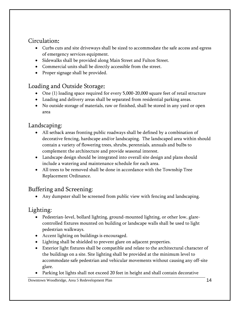## Circulation:

- Curbs cuts and site driveways shall be sized to accommodate the safe access and egress of emergency services equipment.
- Sidewalks shall be provided along Main Street and Fulton Street.
- Commercial units shall be directly accessible from the street.
- Proper signage shall be provided.

## Loading and Outside Storage:

- One (1) loading space required for every 5,000-20,000 square feet of retail structure
- Loading and delivery areas shall be separated from residential parking areas.
- No outside storage of materials, raw or finished, shall be stored in any yard or open area

## Landscaping:

- All setback areas fronting public roadways shall be defined by a combination of decorative fencing, hardscape and/or landscaping. The landscaped area within should contain a variety of flowering trees, shrubs, perennials, annuals and bulbs to complement the architecture and provide seasonal interest.
- Landscape design should be integrated into overall site design and plans should include a watering and maintenance schedule for each area.
- All trees to be removed shall be done in accordance with the Township Tree Replacement Ordinance.

## Buffering and Screening:

Any dumpster shall be screened from public view with fencing and landscaping.

## Lighting:

- Pedestrian-level, bollard lighting, ground-mounted lighting, or other low, glarecontrolled fixtures mounted on building or landscape walls shall be used to light pedestrian walkways.
- Accent lighting on buildings is encouraged.
- Lighting shall be shielded to prevent glare on adjacent properties.
- Exterior light fixtures shall be compatible and relate to the architectural character of the buildings on a site. Site lighting shall be provided at the minimum level to accommodate safe pedestrian and vehicular movements without causing any off-site glare.
- Parking lot lights shall not exceed 20 feet in height and shall contain decorative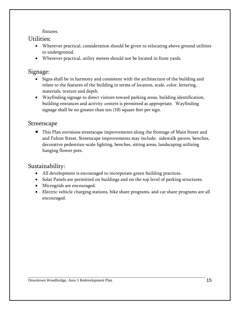fixtures.

#### Utilities:

- Wherever practical, consideration should be given to relocating above ground utilities to underground.
- Wherever practical, utility meters should not be located in front yards.

#### Signage:

- Signs shall be in harmony and consistent with the architecture of the building and relate to the features of the building in terms of location, scale, color, lettering, materials, texture and depth.
- Wayfinding signage to direct visitors toward parking areas, building identification, building entrances and activity centers is permitted as appropriate. Wayfinding signage shall be no greater than ten (10) square feet per sign.

#### Streetscape

 This Plan envisions streetscape improvements along the frontage of Main Street and and Fulton Street. Streetscape improvements may include: sidewalk pavers, benches, decorative pedestrian-scale lighting, benches, sitting areas, landscaping utilizing hanging flower pots.

#### Sustainability:

- All development is encouraged to incorporate green building practices.
- Solar Panels are permitted on buildings and on the top level of parking structures.
- Microgrids are encouraged.
- Electric vehicle charging stations, bike share programs, and car share programs are all encouraged.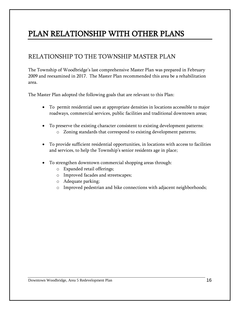## PLAN RELATIONSHIP WITH OTHER PLANS

### RELATIONSHIP TO THE TOWNSHIP MASTER PLAN

The Township of Woodbridge's last comprehensive Master Plan was prepared in February 2009 and reexamined in 2017. The Master Plan recommended this area be a rehabilitation area.

The Master Plan adopted the following goals that are relevant to this Plan:

- To permit residential uses at appropriate densities in locations accessible to major roadways, commercial services, public facilities and traditional downtown areas;
- To preserve the existing character consistent to existing development patterns:
	- o Zoning standards that correspond to existing development patterns;
- To provide sufficient residential opportunities, in locations with access to facilities and services, to help the Township's senior residents age in place;
- To strengthen downtown commercial shopping areas through:
	- o Expanded retail offerings;
	- o Improved facades and streetscapes;
	- o Adequate parking;
	- o Improved pedestrian and bike connections with adjacent neighborhoods;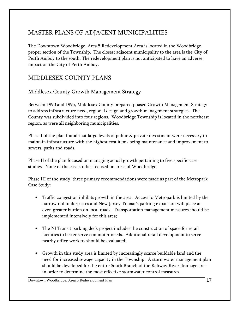## MASTER PLANS OF ADJACENT MUNICIPALITIES

The Downtown Woodbridge, Area 5 Redevelopment Area is located in the Woodbridge proper section of the Township. The closest adjacent municipality to the area is the City of Perth Amboy to the south. The redevelopment plan is not anticipated to have an adverse impact on the City of Perth Amboy.

### MIDDLESEX COUNTY PLANS

#### Middlesex County Growth Management Strategy

Between 1990 and 1995, Middlesex County prepared phased Growth Management Strategy to address infrastructure need, regional design and growth management strategies. The County was subdivided into four regions. Woodbridge Township is located in the northeast region, as were all neighboring municipalities.

Phase I of the plan found that large levels of public & private investment were necessary to maintain infrastructure with the highest cost items being maintenance and improvement to sewers, parks and roads.

Phase II of the plan focused on managing actual growth pertaining to five specific case studies. None of the case studies focused on areas of Woodbridge.

Phase III of the study, three primary recommendations were made as part of the Metropark Case Study:

- Traffic congestion inhibits growth in the area. Access to Metropark is limited by the narrow rail underpasses and New Jersey Transit's parking expansion will place an even greater burden on local roads. Transportation management measures should be implemented intensively for this area;
- The NJ Transit parking deck project includes the construction of space for retail facilities to better serve commuter needs. Additional retail development to serve nearby office workers should be evaluated;
- Growth in this study area is limited by increasingly scarce buildable land and the need for increased sewage capacity in the Township. A stormwater management plan should be developed for the entire South Branch of the Rahway River drainage area in order to determine the most effective stormwater control measures.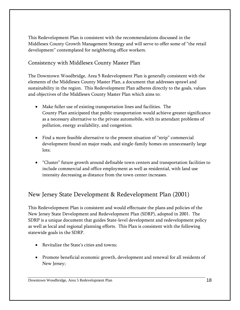This Redevelopment Plan is consistent with the recommendations discussed in the Middlesex County Growth Management Strategy and will serve to offer some of "the retail development" contemplated for neighboring office workers.

#### Consistency with Middlesex County Master Plan

The Downtown Woodbridge, Area 5 Redevelopment Plan is generally consistent with the elements of the Middlesex County Master Plan, a document that addresses sprawl and sustainability in the region. This Redevelopment Plan adheres directly to the goals, values and objectives of the Middlesex County Master Plan which aims to:

- Make fuller use of existing transportation lines and facilities. The County Plan anticipated that public transportation would achieve greater significance as a necessary alternative to the private automobile, with its attendant problems of pollution, energy availability, and congestion;
- Find a more feasible alternative to the present situation of "strip" commercial development found on major roads, and single-family homes on unnecessarily large lots;
- "Cluster" future growth around definable town centers and transportation facilities to include commercial and office employment as well as residential, with land use intensity decreasing as distance from the town center increases.

## New Jersey State Development & Redevelopment Plan (2001)

This Redevelopment Plan is consistent and would effectuate the plans and policies of the New Jersey State Development and Redevelopment Plan (SDRP), adopted in 2001. The SDRP is a unique document that guides State-level development and redevelopment policy as well as local and regional planning efforts. This Plan is consistent with the following statewide goals in the SDRP.

- Revitalize the State's cities and towns;
- Promote beneficial economic growth, development and renewal for all residents of New Jersey;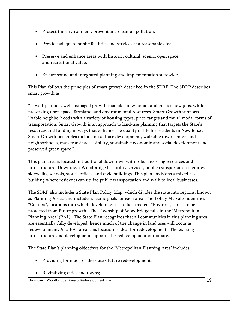- Protect the environment, prevent and clean up pollution;
- Provide adequate public facilities and services at a reasonable cost;
- Preserve and enhance areas with historic, cultural, scenic, open space, and recreational value;
- Ensure sound and integrated planning and implementation statewide.

This Plan follows the principles of smart growth described in the SDRP. The SDRP describes smart growth as

"…well-planned, well-managed growth that adds new homes and creates new jobs, while preserving open space, farmland, and environmental resources. Smart Growth supports livable neighborhoods with a variety of housing types, price ranges and multi-modal forms of transportation. Smart Growth is an approach to land-use planning that targets the State's resources and funding in ways that enhance the quality of life for residents in New Jersey. Smart Growth principles include mixed-use development, walkable town centers and neighborhoods, mass transit accessibility, sustainable economic and social development and preserved green space."

This plan area is located in traditional downtown with robust existing resources and infrastructure. Downtown Woodbridge has utility services, public transportation facilities, sidewalks, schools, stores, offices, and civic buildings. This plan envisions a mixed-use building where residents can utilize public transportation and walk to local businesses.

The SDRP also includes a State Plan Policy Map, which divides the state into regions, known as Planning Areas, and includes specific goals for each area. The Policy Map also identifies "Centers", locations into which development is to be directed, "Environs," areas to be protected from future growth. The Township of Woodbridge falls in the 'Metropolitan Planning Area' (PA1). The State Plan recognizes that all communities in this planning area are essentially fully developed; hence much of the change in land uses will occur as redevelopment. As a PA1 area, this location is ideal for redevelopment. The existing infrastructure and development supports the redevelopment of this site.

The State Plan's planning objectives for the 'Metropolitan Planning Area' includes:

- Providing for much of the state's future redevelopment;
- Revitalizing cities and towns;

Downtown Woodbridge, Area 5 Redevelopment Plan 19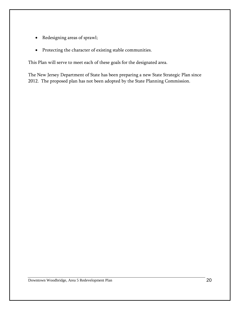- Redesigning areas of sprawl;
- Protecting the character of existing stable communities.

This Plan will serve to meet each of these goals for the designated area.

The New Jersey Department of State has been preparing a new State Strategic Plan since 2012. The proposed plan has not been adopted by the State Planning Commission.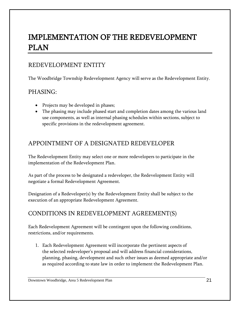## <span id="page-23-0"></span>IMPLEMENTATION OF THE REDEVELOPMENT PLAN

### REDEVELOPMENT ENTITY

The Woodbridge Township Redevelopment Agency will serve as the Redevelopment Entity.

#### PHASING:

- Projects may be developed in phases;
- The phasing may include phased start and completion dates among the various land use components, as well as internal phasing schedules within sections, subject to specific provisions in the redevelopment agreement.

### APPOINTMENT OF A DESIGNATED REDEVELOPER

The Redevelopment Entity may select one or more redevelopers to participate in the implementation of the Redevelopment Plan.

As part of the process to be designated a redeveloper, the Redevelopment Entity will negotiate a formal Redevelopment Agreement.

Designation of a Redeveloper(s) by the Redevelopment Entity shall be subject to the execution of an appropriate Redevelopment Agreement.

## CONDITIONS IN REDEVELOPMENT AGREEMENT(S)

Each Redevelopment Agreement will be contingent upon the following conditions, restrictions, and/or requirements.

1. Each Redevelopment Agreement will incorporate the pertinent aspects of the selected redeveloper's proposal and will address financial considerations, planning, phasing, development and such other issues as deemed appropriate and/or as required according to state law in order to implement the Redevelopment Plan.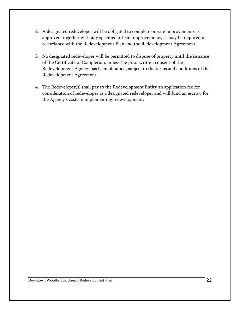- 2. A designated redeveloper will be obligated to complete on-site improvements as approved, together with any specified off-site improvements, as may be required in accordance with the Redevelopment Plan and the Redevelopment Agreement.
- 3. No designated redeveloper will be permitted to dispose of property until the issuance of the Certificate of Completion, unless the prior written consent of the Redevelopment Agency has been obtained, subject to the terms and conditions of the Redevelopment Agreement.
- 4. The Redeveloper(s) shall pay to the Redevelopment Entity an application fee for consideration of redeveloper as a designated redeveloper and will fund an escrow for the Agency's costs in implementing redevelopment.